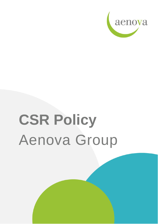

# **CSR Policy** Aenova Group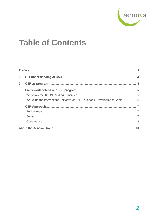

## **Table of Contents**

| 3 <sub>1</sub> |                                                                             |  |
|----------------|-----------------------------------------------------------------------------|--|
|                |                                                                             |  |
|                | We value the international initiative of UN Sustainable Development Goals 6 |  |
| 4.             |                                                                             |  |
|                |                                                                             |  |
|                |                                                                             |  |
|                |                                                                             |  |
|                |                                                                             |  |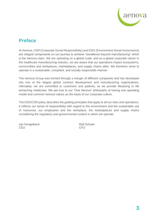

### <span id="page-2-0"></span>**Preface**

At Aenova, CSR (Corporate Social Responsibility) and ESG (Environment Social Governance) are integral components on our journey to achieve "excellence beyond manufacturing" which is the Aenova claim. We are operating on a global scale, and as a global corporate citizen in the healthcare manufacturing industry, we are aware that our operations impact ecosystems, communities and workplaces, marketplaces, and supply chains alike. We therefore strive to operate in a sustainable, compliant, and socially responsible manner.

The Aenova Group was formed through a merger of different companies and has developed into one of the largest global contract development and manufacturing organizations. Ultimately, we are committed to customers and patients, as we provide lifesaving or life enhancing medicines. We are true to our "One Aenova" philosophy of having one operating model and common Aenova values as the basis of our corporate culture.

The ESG/CSR policy describes the guiding principles that apply to all our sites and operations. It reflects our sense of responsibility with regard to the environment and the sustainable use of resources, our employees and the workplace, the marketplaces and supply chains considering the regulatory and governmental context in which we operate.

Jan Kengelbach **Ralf Schuler** Ralf Schuler CEO CFO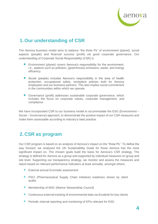

## <span id="page-3-0"></span>**1. Our understanding of CSR**

The Aenova business model aims to balance "the three Ps" of environment (planet), social aspects (people) and financial success (profit) via good corporate governance. Our understanding of Corporate Social Responsibility (CSR) is

- Environment (planet) covers Aenova's responsibility for the environment, i.e., aspects such as pollution, (greenhouse) emissions, waste, and energy efficiency.
- Social (people) includes Aenova's responsibility in the area of health protection, occupational safety, workplace policies both for Aenova employees and our business partners. This also implies social commitment in the communities within which we operate.
- Governance (profit) addresses sustainable corporate governance, which includes the focus on corporate values, corporate management, and compliance.

We have incorporated CSR to our business model to accommodate the ESG (Environment – Social – Governance) approach, to demonstrate the positive impact of our CSR measures and make them assessable according to industry's best practice.

## <span id="page-3-1"></span>**2. CSR as program**

Our CSR program is based on an analysis of Aenova's impact on the "three Ps". To define the way forward, we analysed the UN Sustainability Goals for those Aenova has the most significant impact on. The chosen goals build the basis for Aenova's CSR strategy. The strategy is defined for Aenova as a group and supported by individual measures on group and site level. Supporting our transparency strategy, we monitor and assess the measures and report based on relevant performance indicators at least annually, amongst others,

- **•** External annual EcoVadis assessment
- PSCI (Pharmaceutical Supply Chain Initiative) readiness shown by client audits
- Membership of MSC (Marine Stewardship Council)
- Continuous external tracking of environmental data via Ecodesk for key clients
- Periodic internal reporting and monitoring of KPIs relevant for ESG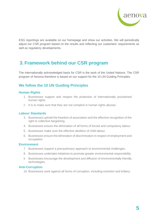

ESG reportings are available on our homepage and show our activities. We will periodically adjust our CSR program based on the results and reflecting our customers' requirements as well as regulatory developments.

## <span id="page-4-0"></span>**3. Framework behind our CSR program**

The internationally acknowledged basis for CSR is the work of the United Nations. The CSR program of Aenova therefore is based on our support for the 10 UN Guiding Principles.

#### <span id="page-4-1"></span>**We follow the 10 UN Guiding Principles**

#### **Human Rights**

- 1. Businesses support and respect the protection of internationally proclaimed human rights.
- 2. It is to make sure that they are not complicit in human rights abuses.

#### **Labour Standards**

- 3. Businesses uphold the freedom of association and the effective recognition of the right to collective bargaining.
- 4. Businesses ensure the elimination of all forms of forced and compulsory labour.
- 5. Businesses make sure the effective abolition of child labour.
- 6. Businesses ensure the elimination of discrimination in respect of employment and occupation.

#### **Environment**

- 7. Businesses support a precautionary approach to environmental challenges.
- 8. Businesses undertake initiatives to promote greater environmental responsibility.
- 9. Businesses encourage the development and diffusion of environmentally friendly technologies.

#### **Anti-Corruption**

10. Businesses work against all forms of corruption, including extortion and bribery.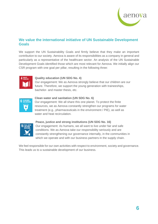

#### <span id="page-5-0"></span>**We value the international initiative of UN Sustainable Development Goals**

We support the UN Sustainability Goals and firmly believe that they make an important contribution to our society. Aenova is aware of its responsibilities as a company in general and particularly as a representative of the healthcare sector. An analysis of the UN Sustainable Development Goals identified those which are most relevant for Aenova. We initially align our CSR program with one goal per pillar, resulting in the following three:



#### **Quality education (UN SDG No. 4)**

Our engagement: We as Aenova strongly believe that our children are our future. Therefore, we support the young generation with traineeships, bachelor- and master thesis, etc.



#### **Clean water and sanitation (UN SDG No. 6)**

Our engagement: We all share this one planet. To protect the finite resources, we as Aenova constantly strengthen our programs for water treatment (e.g., pharmaceuticals in the environment / PIE), as well as water and heat recirculation



#### **Peace, justice and strong institutions (UN SDG No. 16)**

Our engagement: As humans, we all want to live under fair and safe conditions. We as Aenova take our responsibility seriously and are constantly strengthening our governance internally, in the communities in which we operate and with our business partners in the supply chain.

We feel responsible for our own activities with respect to environment, society and governance. This leads us to a sustainable development of our business.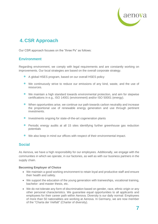

## <span id="page-6-0"></span>**4. CSR Approach**

<span id="page-6-1"></span>Our CSR approach focuses on the "three Ps" as follows:

#### **Environment**

Regarding environment, we comply with legal requirements and are constantly working on improvements. Our local strategies are based on the overall corporate strategy.

- A global HSES program, based on our overall HSES policy
- We continuously strive to reduce our emissions of any kind, waste, and the use of resources.
- We maintain a high standard towards environmental protection, and aim for stepwise certifications in e.g., ISO 14001 (environment) and/or ISO 50001 (energy).
- When opportunities arise, we continue our path towards carbon neutrality and increase the proportional use of renewable energy generation and use through pertinent investments.
- Investments ongoing for state-of-the-art cogeneration plants
- Periodic energy audits at all 15 sites identifying further greenhouse gas reduction potentials
- We also keep in mind our offices with respect of their environmental impact.

#### <span id="page-6-2"></span>**Social**

As Aenova, we have a high responsibility for our employees. Additionally, we engage with the communities in which we operate, in our factories, as well as with our business partners in the supply chain.

#### **Becoming Employer of Choice**

- We maintain a good working environment to retain loyal and productive staff and ensure their health and safety.
- We support the education of the young generation with traineeships, vocational training, bachelor- and master thesis, etc.
- We do not tolerate any form of discrimination based on gender, race, ethnic origin or any other personal characteristics. We guarantee equal opportunities to all applicants and employees for their career path within Aenova. Diversity is our daily normal: Employees of more than 50 nationalities are working at Aenova. In Germany, we are now member of the "Charta der Vielfalt" (Charter of diversity).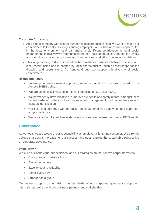

#### **Corporate Citizenship**

- As a global company with a large number of local production sites, we want to make our commitment felt locally. As long-standing employers, our subsidiaries are deeply rooted in the local environment and can make a significant contribution to local social engagement. In this way we attempt to strengthen local communities, deepen the loyalty and identification of our employees and their families, and attract potential candidates.
- This long-standing tradition is based on the sometimes close links between the sites and local communities and is shaped by local characteristics, such as workshops for the disabled and sports clubs. As Aenova Group, we support this diversity of social commitment.

#### **Health and Safety**

- Following our environmental approach, we run a global HSES program, based on our Aenova HSES policy.
- We are continually investing in relevant certificates, e.g., ISO 45001.
- We permanently drive initiatives to improve our health and safety record, amongst them behaviour-based safety, holistic business risk management, root cause analysis and hazards identification.
- Our local and corporate Corona Task Forces put employee safety first and guarantee supply continuity.
- We monitor the full compliance status of our sites over internal corporate HSES audits.

#### <span id="page-7-0"></span>**Governance**

As Aenova, we are aware of our responsibility as employer, client, and customer. We strongly believe that trust is the basis for our success, and trust requires the sustainable perspective on corporate governance:

#### **Value driven**

We build our behaviour, our decisions, and our strategies on the Aenova corporate values:

- Customers and patients first
- Everyone matters
- Excellence and reliability
- Better every day
- Stronger as a group

Our values support us in raising the standards of our corporate governance approach internally, as well as with our business partners and stakeholders.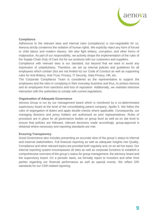

#### **Compliance**

Adherence to the relevant laws and internal rules (compliance) is non-negotiable for us. Aenova strictly condemns the violation of human rights. We explicitly reject any form of forced or child labour and modern slavery. We also fight bribery, corruption, and other forms of malpractice. As part of our responsibility, we actively shape the implementation of the rules of the Supply Chain Duty of Care Act for our products with our customers and suppliers.

Compliance with relevant laws is our standard, but beyond that we want to avoid any impression of unlawfulness. Therefore, we set up internal policies and guidelines for all employees which contain (but are not limited to) our Code of Conduct as well as supporting rules for Anti-Bribery, Anti-Trust, Privacy, IT Security, Data Privacy, HR, etc.

The Corporate Compliance Team is considered as the representative to support the employees and the sites in complying in their everyday business and thus, to protect Aenova and its employees from sanctions and loss of reputation. Additionally, we maintain intensive interaction with the authorities to comply with current regulations.

#### **Organisation of Adequate Governance**

Aenova Group is run by our management board which is monitored by a co-determinated supervisory board at the level of the consolidating parent company, Apollo 5. We follow the rules of segregation of duties and apply double checks where applicable. Consequently, our managing directors and proxy holders are authorised as joint representatives. Rules of procedure are in place for all governance bodies on group level as well as on site level to ensure that policies are followed, relevant decisions made accordingly, group-approval is obtained where necessary and reporting standards are met.

#### **Ensuring Transparency**

Good Governance also includes presenting an accurate view of the group´s status to internal and external stakeholders. Full financial reporting as well as adequate insights into Quality, Compliance and other relevant topics are provided both regularly and, on an ad hoc basis. Our internal reporting system encompasses all sites as well as corporate functions to establish a comprehensive overview of the group´s status for group management, the advisory board and the supervisory board. On a periodic basis, we formally report to investors and other third parties regarding our financial performance as well as special events. We reflect GRI standards for our CSR-related reporting.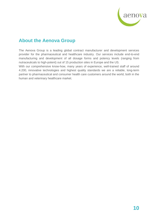

## <span id="page-9-0"></span>**About the Aenova Group**

The Aenova Group is a leading global contract manufacturer and development services provider for the pharmaceutical and healthcare industry. Our services include end-to-end manufacturing and development of all dosage forms and potency levels (ranging from nutraceuticals to high-potent) out of 15 production sites in Europe and the US.

With our comprehensive know-how, many years of experience, well-trained staff of around 4.200, innovative technologies and highest quality standards we are a reliable, long-term partner to pharmaceutical and consumer health care customers around the world, both in the human and veterinary healthcare market.